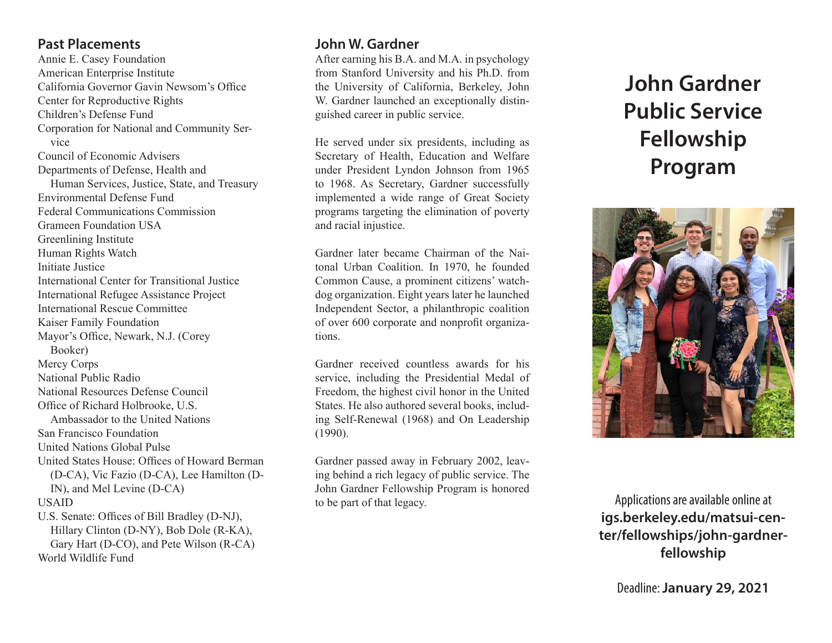#### **Past Placements**

Annie E. Casey Foundation American Enterprise Institute California Governor Gavin Newsom's Office Center for Reproductive Rights Children's Defense Fund Corporation for National and Community Service Council of Economic Advisers Departments of Defense, Health and Human Services, Justice, State, and Treasury Environmental Defense Fund Federal Communications Commission Grameen Foundation USA Greenlining Institute Human Rights Watch Initiate Justice International Center for Transitional Justice International Refugee Assistance Project International Rescue Committee Kaiser Family Foundation Mayor's Office, Newark, N.J. (Corey Booker) Mercy Corps National Public Radio National Resources Defense Council Office of Richard Holbrooke, U.S. Ambassador to the United Nations San Francisco Foundation United Nations Global Pulse United States House: Offices of Howard Berman (D-CA), Vic Fazio (D-CA), Lee Hamilton (D-IN), and Mel Levine (D-CA) USAID U.S. Senate: Offices of Bill Bradley (D-NJ), Hillary Clinton (D-NY), Bob Dole (R-KA), Gary Hart (D-CO), and Pete Wilson (R-CA) World Wildlife Fund

# **John W. Gardner**

After earning his B.A. and M.A. in psychology from Stanford University and his Ph.D. from the University of California, Berkeley, John W. Gardner launched an exceptionally distinguished career in public service.

He served under six presidents, including as Secretary of Health, Education and Welfare under President Lyndon Johnson from 1965 to 1968. As Secretary, Gardner successfully implemented a wide range of Great Society programs targeting the elimination of poverty and racial injustice.

Gardner later became Chairman of the Naitonal Urban Coalition. In 1970, he founded Common Cause, a prominent citizens' watchdog organization. Eight years later he launched Independent Sector, a philanthropic coalition of over 600 corporate and nonprofit organizations.

Gardner received countless awards for his service, including the Presidential Medal of Freedom, the highest civil honor in the United States. He also authored several books, including Self-Renewal (1968) and On Leadership (1990).

Gardner passed away in February 2002, leaving behind a rich legacy of public service. The John Gardner Fellowship Program is honored to be part of that legacy.

# **John Gardner Public Service Fellowship Program**



Applications are available online at **igs.berkeley.edu/matsui-center/fellowships/john-gardnerfellowship**